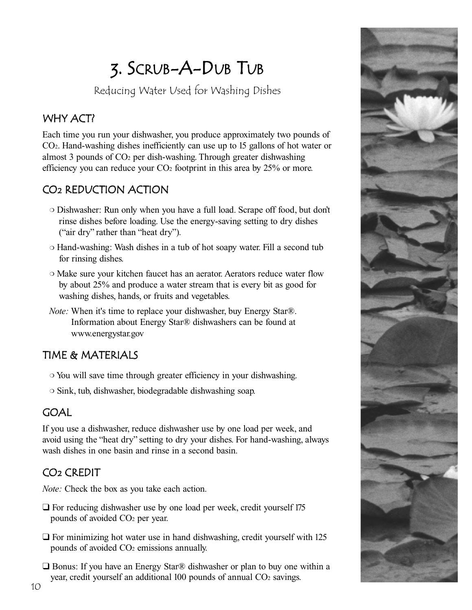# 3. SCRUB-A-DUB TUB

Reducing Water Used for Washing Dishes

#### WHY ACT?

Each time you run your dishwasher, you produce approximately two pounds of CO2. Hand-washing dishes inefficiently can use up to 15 gallons of hot water or almost 3 pounds of CO2 per dish-washing. Through greater dishwashing efficiency you can reduce your  $CO<sub>2</sub>$  footprint in this area by 25% or more.

## CO2 REDUCTION ACTION

- ❍ Dishwasher: Run only when you have a full load. Scrape off food, but don't rinse dishes before loading. Use the energy-saving setting to dry dishes ("air dry" rather than "heat dry").
- ❍ Hand-washing: Wash dishes in a tub of hot soapy water. Fill a second tub for rinsing dishes.
- ❍ Make sure your kitchen faucet has an aerator. Aerators reduce water flow by about 25% and produce a water stream that is every bit as good for washing dishes, hands, or fruits and vegetables.
- *Note:* When it's time to replace your dishwasher, buy Energy Star®. Information about Energy Star® dishwashers can be found at www.energystar.gov

## TIME & MATERIALS

- ❍ You will save time through greater efficiency in your dishwashing.
- ❍ Sink, tub, dishwasher, biodegradable dishwashing soap.

## GOAL

If you use a dishwasher, reduce dishwasher use by one load per week, and avoid using the "heat dry" setting to dry your dishes. For hand-washing, always wash dishes in one basin and rinse in a second basin.

## CO2 CREDIT

*Note:* Check the box as you take each action.

- □ For reducing dishwasher use by one load per week, credit yourself 175 pounds of avoided CO2 per year.
- □ For minimizing hot water use in hand dishwashing, credit yourself with 125 pounds of avoided CO2 emissions annually.
- ❑ Bonus: If you have an Energy Star® dishwasher or plan to buy one within a year, credit yourself an additional 100 pounds of annual CO<sub>2</sub> savings.

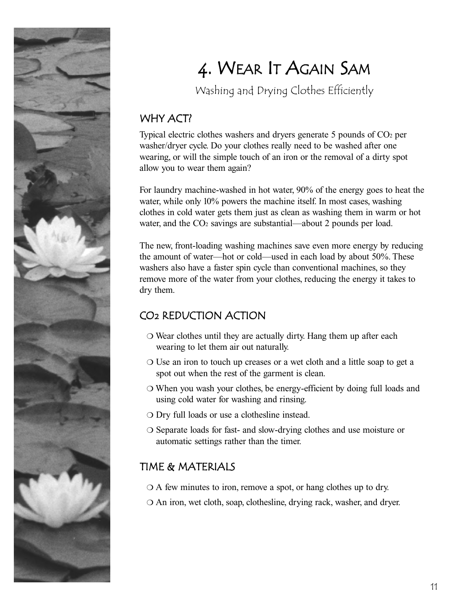

# 4. WEAR IT AGAIN SAM

Washing and Drying Clothes Efficiently

## WHY ACT?

Typical electric clothes washers and dryers generate 5 pounds of CO2 per washer/dryer cycle. Do your clothes really need to be washed after one wearing, or will the simple touch of an iron or the removal of a dirty spot allow you to wear them again?

For laundry machine-washed in hot water, 90% of the energy goes to heat the water, while only 10% powers the machine itself. In most cases, washing clothes in cold water gets them just as clean as washing them in warm or hot water, and the CO<sub>2</sub> savings are substantial—about 2 pounds per load.

The new, front-loading washing machines save even more energy by reducing the amount of water—hot or cold—used in each load by about 50%. These washers also have a faster spin cycle than conventional machines, so they remove more of the water from your clothes, reducing the energy it takes to dry them.

## CO2 REDUCTION ACTION

- ❍ Wear clothes until they are actually dirty. Hang them up after each wearing to let them air out naturally.
- ❍ Use an iron to touch up creases or a wet cloth and a little soap to get a spot out when the rest of the garment is clean.
- ❍ When you wash your clothes, be energy-efficient by doing full loads and using cold water for washing and rinsing.
- ❍ Dry full loads or use a clothesline instead.
- ❍ Separate loads for fast- and slow-drying clothes and use moisture or automatic settings rather than the timer.

## TIME & MATERIALS

- ❍ A few minutes to iron, remove a spot, or hang clothes up to dry.
- ❍ An iron, wet cloth, soap, clothesline, drying rack, washer, and dryer.